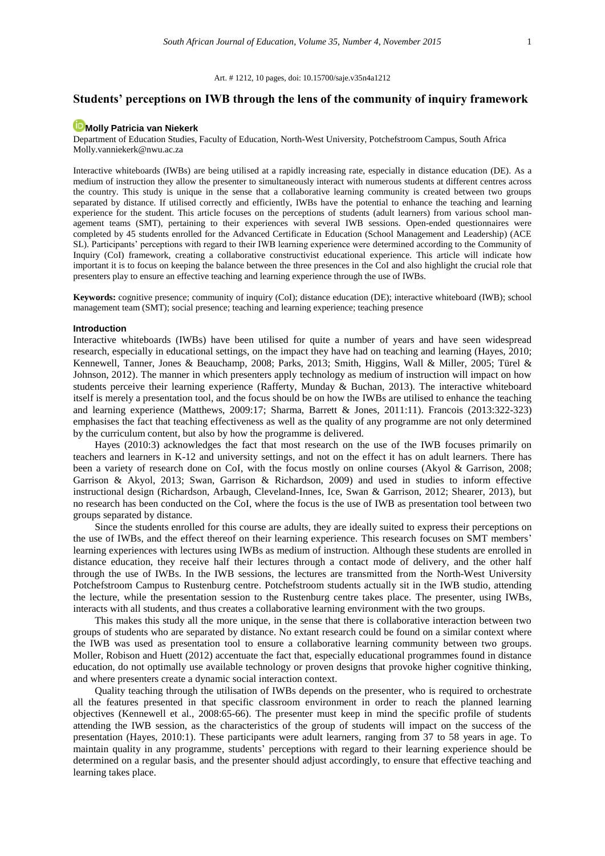Art. # 1212, 10 pages, doi: 10.15700/saje.v35n4a1212

# **Students' perceptions on IWB through the lens of the community of inquiry framework**

# **[Molly Patricia van Niekerk](http://orcid.org/0000-0003-2927-6388)**

Department of Education Studies, Faculty of Education, North-West University, Potchefstroom Campus, South Africa Molly.vanniekerk@nwu.ac.za

Interactive whiteboards (IWBs) are being utilised at a rapidly increasing rate, especially in distance education (DE). As a medium of instruction they allow the presenter to simultaneously interact with numerous students at different centres across the country. This study is unique in the sense that a collaborative learning community is created between two groups separated by distance. If utilised correctly and efficiently, IWBs have the potential to enhance the teaching and learning experience for the student. This article focuses on the perceptions of students (adult learners) from various school management teams (SMT), pertaining to their experiences with several IWB sessions. Open-ended questionnaires were completed by 45 students enrolled for the Advanced Certificate in Education (School Management and Leadership) (ACE SL). Participants' perceptions with regard to their IWB learning experience were determined according to the Community of Inquiry (CoI) framework, creating a collaborative constructivist educational experience. This article will indicate how important it is to focus on keeping the balance between the three presences in the CoI and also highlight the crucial role that presenters play to ensure an effective teaching and learning experience through the use of IWBs.

**Keywords:** cognitive presence; community of inquiry (CoI); distance education (DE); interactive whiteboard (IWB); school management team (SMT); social presence; teaching and learning experience; teaching presence

## **Introduction**

Interactive whiteboards (IWBs) have been utilised for quite a number of years and have seen widespread research, especially in educational settings, on the impact they have had on teaching and learning (Hayes, 2010; Kennewell, Tanner, Jones & Beauchamp, 2008; Parks, 2013; Smith, Higgins, Wall & Miller, 2005; Türel & Johnson, 2012). The manner in which presenters apply technology as medium of instruction will impact on how students perceive their learning experience (Rafferty, Munday & Buchan, 2013). The interactive whiteboard itself is merely a presentation tool, and the focus should be on how the IWBs are utilised to enhance the teaching and learning experience (Matthews, 2009:17; Sharma, Barrett & Jones, 2011:11). Francois (2013:322-323) emphasises the fact that teaching effectiveness as well as the quality of any programme are not only determined by the curriculum content, but also by how the programme is delivered.

Hayes (2010:3) acknowledges the fact that most research on the use of the IWB focuses primarily on teachers and learners in K-12 and university settings, and not on the effect it has on adult learners. There has been a variety of research done on CoI, with the focus mostly on online courses (Akyol & Garrison, 2008; Garrison & Akyol, 2013; Swan, Garrison & Richardson, 2009) and used in studies to inform effective instructional design (Richardson, Arbaugh, Cleveland-Innes, Ice, Swan & Garrison, 2012; Shearer, 2013), but no research has been conducted on the CoI, where the focus is the use of IWB as presentation tool between two groups separated by distance.

Since the students enrolled for this course are adults, they are ideally suited to express their perceptions on the use of IWBs, and the effect thereof on their learning experience. This research focuses on SMT members' learning experiences with lectures using IWBs as medium of instruction. Although these students are enrolled in distance education, they receive half their lectures through a contact mode of delivery, and the other half through the use of IWBs. In the IWB sessions, the lectures are transmitted from the North-West University Potchefstroom Campus to Rustenburg centre. Potchefstroom students actually sit in the IWB studio, attending the lecture, while the presentation session to the Rustenburg centre takes place. The presenter, using IWBs, interacts with all students, and thus creates a collaborative learning environment with the two groups.

This makes this study all the more unique, in the sense that there is collaborative interaction between two groups of students who are separated by distance. No extant research could be found on a similar context where the IWB was used as presentation tool to ensure a collaborative learning community between two groups. Moller, Robison and Huett (2012) accentuate the fact that, especially educational programmes found in distance education, do not optimally use available technology or proven designs that provoke higher cognitive thinking, and where presenters create a dynamic social interaction context.

Quality teaching through the utilisation of IWBs depends on the presenter, who is required to orchestrate all the features presented in that specific classroom environment in order to reach the planned learning objectives (Kennewell et al., 2008:65-66). The presenter must keep in mind the specific profile of students attending the IWB session, as the characteristics of the group of students will impact on the success of the presentation (Hayes, 2010:1). These participants were adult learners, ranging from 37 to 58 years in age. To maintain quality in any programme, students' perceptions with regard to their learning experience should be determined on a regular basis, and the presenter should adjust accordingly, to ensure that effective teaching and learning takes place.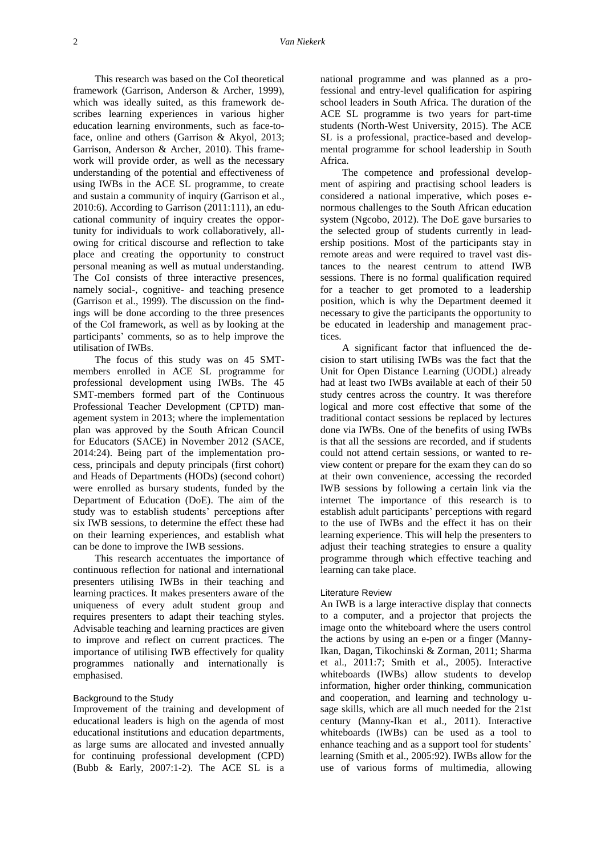This research was based on the CoI theoretical framework (Garrison, Anderson & Archer, 1999), which was ideally suited, as this framework describes learning experiences in various higher education learning environments, such as face-toface, online and others (Garrison & Akyol, 2013; Garrison, Anderson & Archer, 2010). This framework will provide order, as well as the necessary understanding of the potential and effectiveness of using IWBs in the ACE SL programme, to create and sustain a community of inquiry (Garrison et al., 2010:6). According to Garrison (2011:111), an educational community of inquiry creates the opportunity for individuals to work collaboratively, allowing for critical discourse and reflection to take place and creating the opportunity to construct personal meaning as well as mutual understanding. The CoI consists of three interactive presences, namely social-, cognitive- and teaching presence (Garrison et al., 1999). The discussion on the findings will be done according to the three presences of the CoI framework, as well as by looking at the participants' comments, so as to help improve the utilisation of IWBs.

The focus of this study was on 45 SMTmembers enrolled in ACE SL programme for professional development using IWBs. The 45 SMT-members formed part of the Continuous Professional Teacher Development (CPTD) management system in 2013; where the implementation plan was approved by the South African Council for Educators (SACE) in November 2012 (SACE, 2014:24). Being part of the implementation process, principals and deputy principals (first cohort) and Heads of Departments (HODs) (second cohort) were enrolled as bursary students, funded by the Department of Education (DoE). The aim of the study was to establish students' perceptions after six IWB sessions, to determine the effect these had on their learning experiences, and establish what can be done to improve the IWB sessions.

This research accentuates the importance of continuous reflection for national and international presenters utilising IWBs in their teaching and learning practices. It makes presenters aware of the uniqueness of every adult student group and requires presenters to adapt their teaching styles. Advisable teaching and learning practices are given to improve and reflect on current practices. The importance of utilising IWB effectively for quality programmes nationally and internationally is emphasised.

## Background to the Study

Improvement of the training and development of educational leaders is high on the agenda of most educational institutions and education departments, as large sums are allocated and invested annually for continuing professional development (CPD) (Bubb & Early, 2007:1-2). The ACE SL is a

national programme and was planned as a professional and entry-level qualification for aspiring school leaders in South Africa. The duration of the ACE SL programme is two years for part-time students (North-West University, 2015). The ACE SL is a professional, practice-based and developmental programme for school leadership in South Africa.

The competence and professional development of aspiring and practising school leaders is considered a national imperative, which poses enormous challenges to the South African education system (Ngcobo, 2012). The DoE gave bursaries to the selected group of students currently in leadership positions. Most of the participants stay in remote areas and were required to travel vast distances to the nearest centrum to attend IWB sessions. There is no formal qualification required for a teacher to get promoted to a leadership position, which is why the Department deemed it necessary to give the participants the opportunity to be educated in leadership and management practices.

A significant factor that influenced the decision to start utilising IWBs was the fact that the Unit for Open Distance Learning (UODL) already had at least two IWBs available at each of their 50 study centres across the country. It was therefore logical and more cost effective that some of the traditional contact sessions be replaced by lectures done via IWBs. One of the benefits of using IWBs is that all the sessions are recorded, and if students could not attend certain sessions, or wanted to review content or prepare for the exam they can do so at their own convenience, accessing the recorded IWB sessions by following a certain link via the internet The importance of this research is to establish adult participants' perceptions with regard to the use of IWBs and the effect it has on their learning experience. This will help the presenters to adjust their teaching strategies to ensure a quality programme through which effective teaching and learning can take place.

#### Literature Review

An IWB is a large interactive display that connects to a computer, and a projector that projects the image onto the whiteboard where the users control the actions by using an e-pen or a finger (Manny-Ikan, Dagan, Tikochinski & Zorman, 2011; Sharma et al., 2011:7; Smith et al., 2005). Interactive whiteboards (IWBs) allow students to develop information, higher order thinking, communication and cooperation, and learning and technology usage skills, which are all much needed for the 21st century (Manny-Ikan et al., 2011). Interactive whiteboards (IWBs) can be used as a tool to enhance teaching and as a support tool for students' learning (Smith et al., 2005:92). IWBs allow for the use of various forms of multimedia, allowing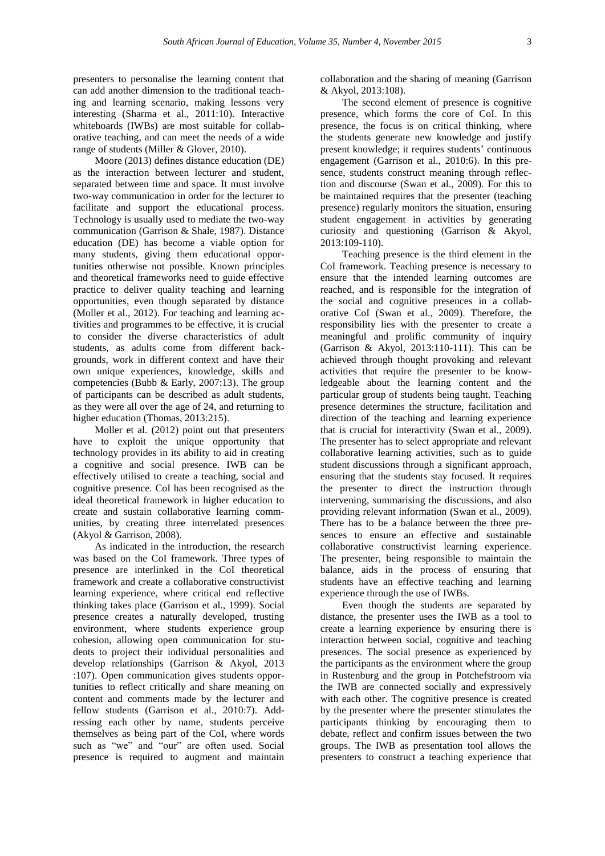presenters to personalise the learning content that can add another dimension to the traditional teaching and learning scenario, making lessons very interesting (Sharma et al., 2011:10). Interactive whiteboards (IWBs) are most suitable for collaborative teaching, and can meet the needs of a wide range of students (Miller & Glover, 2010).

Moore (2013) defines distance education (DE) as the interaction between lecturer and student, separated between time and space. It must involve two-way communication in order for the lecturer to facilitate and support the educational process. Technology is usually used to mediate the two-way communication (Garrison & Shale, 1987). Distance education (DE) has become a viable option for many students, giving them educational opportunities otherwise not possible. Known principles and theoretical frameworks need to guide effective practice to deliver quality teaching and learning opportunities, even though separated by distance (Moller et al., 2012). For teaching and learning activities and programmes to be effective, it is crucial to consider the diverse characteristics of adult students, as adults come from different backgrounds, work in different context and have their own unique experiences, knowledge, skills and competencies (Bubb & Early, 2007:13). The group of participants can be described as adult students, as they were all over the age of 24, and returning to higher education (Thomas, 2013:215).

Moller et al. (2012) point out that presenters have to exploit the unique opportunity that technology provides in its ability to aid in creating a cognitive and social presence. IWB can be effectively utilised to create a teaching, social and cognitive presence. CoI has been recognised as the ideal theoretical framework in higher education to create and sustain collaborative learning communities, by creating three interrelated presences (Akyol & Garrison, 2008).

As indicated in the introduction, the research was based on the CoI framework. Three types of presence are interlinked in the CoI theoretical framework and create a collaborative constructivist learning experience, where critical end reflective thinking takes place (Garrison et al., 1999). Social presence creates a naturally developed, trusting environment, where students experience group cohesion, allowing open communication for students to project their individual personalities and develop relationships (Garrison & Akyol, 2013 :107). Open communication gives students opportunities to reflect critically and share meaning on content and comments made by the lecturer and fellow students (Garrison et al., 2010:7). Addressing each other by name, students perceive themselves as being part of the CoI, where words such as "we" and "our" are often used. Social presence is required to augment and maintain

collaboration and the sharing of meaning (Garrison & Akyol, 2013:108).

The second element of presence is cognitive presence, which forms the core of CoI. In this presence, the focus is on critical thinking, where the students generate new knowledge and justify present knowledge; it requires students' continuous engagement (Garrison et al., 2010:6). In this presence, students construct meaning through reflection and discourse (Swan et al., 2009). For this to be maintained requires that the presenter (teaching presence) regularly monitors the situation, ensuring student engagement in activities by generating curiosity and questioning (Garrison & Akyol, 2013:109-110).

Teaching presence is the third element in the CoI framework. Teaching presence is necessary to ensure that the intended learning outcomes are reached, and is responsible for the integration of the social and cognitive presences in a collaborative CoI (Swan et al., 2009). Therefore, the responsibility lies with the presenter to create a meaningful and prolific community of inquiry (Garrison & Akyol, 2013:110-111). This can be achieved through thought provoking and relevant activities that require the presenter to be knowledgeable about the learning content and the particular group of students being taught. Teaching presence determines the structure, facilitation and direction of the teaching and learning experience that is crucial for interactivity (Swan et al., 2009). The presenter has to select appropriate and relevant collaborative learning activities, such as to guide student discussions through a significant approach, ensuring that the students stay focused. It requires the presenter to direct the instruction through intervening, summarising the discussions, and also providing relevant information (Swan et al., 2009). There has to be a balance between the three presences to ensure an effective and sustainable collaborative constructivist learning experience. The presenter, being responsible to maintain the balance, aids in the process of ensuring that students have an effective teaching and learning experience through the use of IWBs.

Even though the students are separated by distance, the presenter uses the IWB as a tool to create a learning experience by ensuring there is interaction between social, cognitive and teaching presences. The social presence as experienced by the participants as the environment where the group in Rustenburg and the group in Potchefstroom via the IWB are connected socially and expressively with each other. The cognitive presence is created by the presenter where the presenter stimulates the participants thinking by encouraging them to debate, reflect and confirm issues between the two groups. The IWB as presentation tool allows the presenters to construct a teaching experience that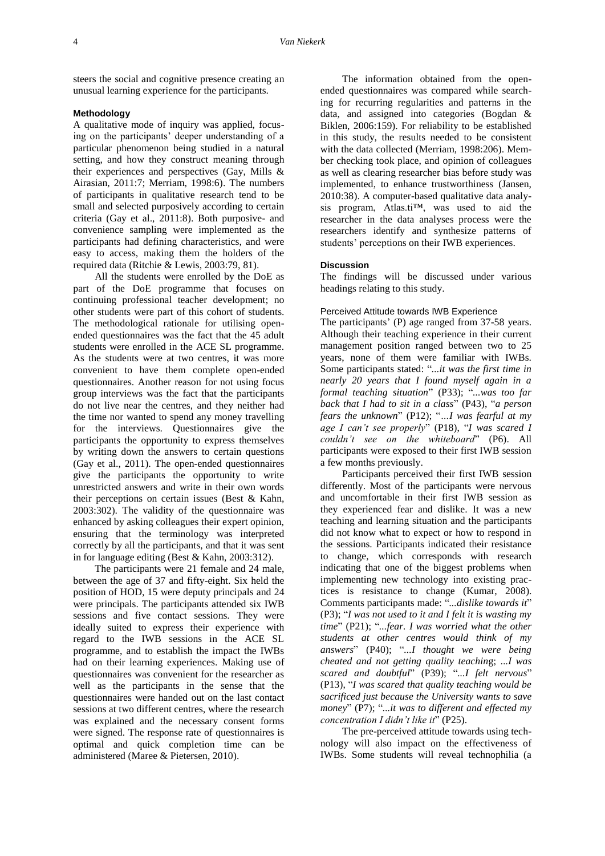steers the social and cognitive presence creating an unusual learning experience for the participants.

# **Methodology**

A qualitative mode of inquiry was applied, focusing on the participants' deeper understanding of a particular phenomenon being studied in a natural setting, and how they construct meaning through their experiences and perspectives (Gay, Mills & Airasian, 2011:7; Merriam, 1998:6). The numbers of participants in qualitative research tend to be small and selected purposively according to certain criteria (Gay et al., 2011:8). Both purposive- and convenience sampling were implemented as the participants had defining characteristics, and were easy to access, making them the holders of the required data (Ritchie & Lewis, 2003:79, 81).

All the students were enrolled by the DoE as part of the DoE programme that focuses on continuing professional teacher development; no other students were part of this cohort of students. The methodological rationale for utilising openended questionnaires was the fact that the 45 adult students were enrolled in the ACE SL programme. As the students were at two centres, it was more convenient to have them complete open-ended questionnaires. Another reason for not using focus group interviews was the fact that the participants do not live near the centres, and they neither had the time nor wanted to spend any money travelling for the interviews. Questionnaires give the participants the opportunity to express themselves by writing down the answers to certain questions (Gay et al., 2011). The open-ended questionnaires give the participants the opportunity to write unrestricted answers and write in their own words their perceptions on certain issues (Best & Kahn, 2003:302). The validity of the questionnaire was enhanced by asking colleagues their expert opinion, ensuring that the terminology was interpreted correctly by all the participants, and that it was sent in for language editing (Best & Kahn, 2003:312).

The participants were 21 female and 24 male, between the age of 37 and fifty-eight. Six held the position of HOD, 15 were deputy principals and 24 were principals. The participants attended six IWB sessions and five contact sessions. They were ideally suited to express their experience with regard to the IWB sessions in the ACE SL programme, and to establish the impact the IWBs had on their learning experiences. Making use of questionnaires was convenient for the researcher as well as the participants in the sense that the questionnaires were handed out on the last contact sessions at two different centres, where the research was explained and the necessary consent forms were signed. The response rate of questionnaires is optimal and quick completion time can be administered (Maree & Pietersen, 2010).

The information obtained from the openended questionnaires was compared while searching for recurring regularities and patterns in the data, and assigned into categories (Bogdan & Biklen, 2006:159). For reliability to be established in this study, the results needed to be consistent with the data collected (Merriam, 1998:206). Member checking took place, and opinion of colleagues as well as clearing researcher bias before study was implemented, to enhance trustworthiness (Jansen, 2010:38). A computer-based qualitative data analysis program, Atlas.ti™, was used to aid the researcher in the data analyses process were the researchers identify and synthesize patterns of students' perceptions on their IWB experiences.

## **Discussion**

The findings will be discussed under various headings relating to this study.

# Perceived Attitude towards IWB Experience

The participants' (P) age ranged from 37-58 years. Although their teaching experience in their current management position ranged between two to 25 years, none of them were familiar with IWBs. Some participants stated: "*...it was the first time in nearly 20 years that I found myself again in a formal teaching situation*" (P33); "*...was too far back that I had to sit in a class*" (P43), "*a person fears the unknown*" (P12); "*…I was fearful at my age I can't see properly*" (P18), "*I was scared I couldn't see on the whiteboard*" (P6). All participants were exposed to their first IWB session a few months previously.

Participants perceived their first IWB session differently. Most of the participants were nervous and uncomfortable in their first IWB session as they experienced fear and dislike. It was a new teaching and learning situation and the participants did not know what to expect or how to respond in the sessions. Participants indicated their resistance to change, which corresponds with research indicating that one of the biggest problems when implementing new technology into existing practices is resistance to change (Kumar, 2008). Comments participants made: "*...dislike towards it*" (P3); "*I was not used to it and I felt it is wasting my time*" (P21); "*...fear. I was worried what the other students at other centres would think of my answers*" (P40); "*...I thought we were being cheated and not getting quality teachin*g; *...I was scared and doubtful*" (P39); "*...I felt nervous*" (P13), "*I was scared that quality teaching would be sacrificed just because the University wants to save money*" (P7); "*...it was to different and effected my concentration I didn't like it*" (P25).

The pre-perceived attitude towards using technology will also impact on the effectiveness of IWBs. Some students will reveal technophilia (a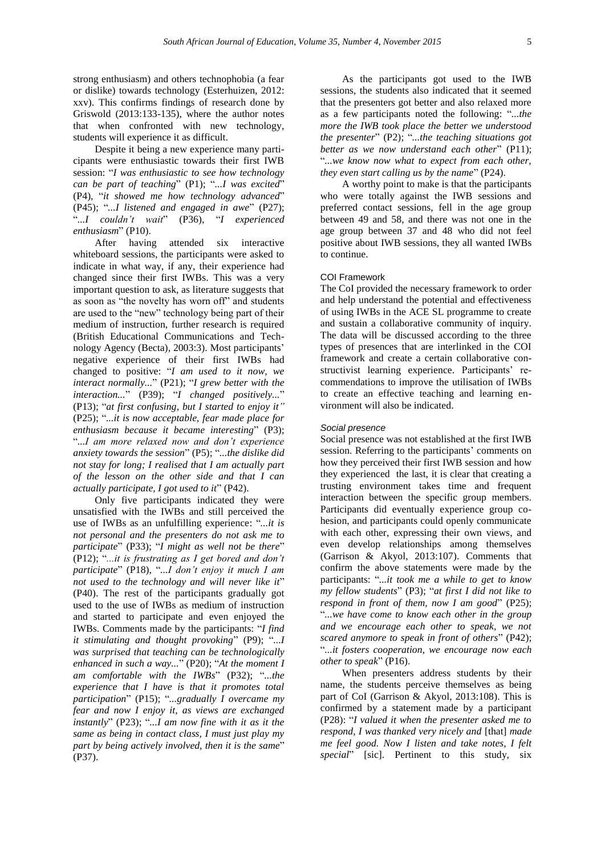strong enthusiasm) and others technophobia (a fear or dislike) towards technology (Esterhuizen, 2012: xxv). This confirms findings of research done by Griswold (2013:133-135), where the author notes that when confronted with new technology, students will experience it as difficult.

Despite it being a new experience many participants were enthusiastic towards their first IWB session: "*I was enthusiastic to see how technology can be part of teaching*" (P1); "*...I was excited*" (P4), "*it showed me how technology advanced*" (P45); "*...I listened and engaged in awe*" (P27); "*...I couldn't wait*" (P36), "*I experienced enthusiasm*" (P10).

After having attended six interactive whiteboard sessions, the participants were asked to indicate in what way, if any, their experience had changed since their first IWBs. This was a very important question to ask, as literature suggests that as soon as "the novelty has worn off" and students are used to the "new" technology being part of their medium of instruction, further research is required (British Educational Communications and Technology Agency (Becta), 2003:3). Most participants' negative experience of their first IWBs had changed to positive: "*I am used to it now, we interact normally...*" (P21); "*I grew better with the interaction...*" (P39); "*I changed positively...*" (P13); "*at first confusing, but I started to enjoy it"* (P25); "*...it is now acceptable, fear made place for enthusiasm because it became interesting*" (P3); "*...I am more relaxed now and don't experience anxiety towards the session*" (P5); "*...the dislike did not stay for long; I realised that I am actually part of the lesson on the other side and that I can actually participate, I got used to it*" (P42).

Only five participants indicated they were unsatisfied with the IWBs and still perceived the use of IWBs as an unfulfilling experience: "*...it is not personal and the presenters do not ask me to participate*" (P33); "*I might as well not be there*" (P12); "*...it is frustrating as I get bored and don't participate*" (P18), "*...I don't enjoy it much I am not used to the technology and will never like it*" (P40). The rest of the participants gradually got used to the use of IWBs as medium of instruction and started to participate and even enjoyed the IWBs. Comments made by the participants: "*I find it stimulating and thought provoking*" (P9); "*...I was surprised that teaching can be technologically enhanced in such a way...*" (P20); "*At the moment I am comfortable with the IWBs*" (P32); "*...the experience that I have is that it promotes total participation*" (P15); "*...gradually I overcame my fear and now I enjoy it, as views are exchanged instantly*" (P23); "*...I am now fine with it as it the same as being in contact class, I must just play my part by being actively involved, then it is the same*" (P37).

As the participants got used to the IWB sessions, the students also indicated that it seemed that the presenters got better and also relaxed more as a few participants noted the following: "*...the more the IWB took place the better we understood the presenter*" (P2); "*...the teaching situations got better as we now understand each other*" (P11); "*...we know now what to expect from each other, they even start calling us by the name*" (P24).

A worthy point to make is that the participants who were totally against the IWB sessions and preferred contact sessions, fell in the age group between 49 and 58, and there was not one in the age group between 37 and 48 who did not feel positive about IWB sessions, they all wanted IWBs to continue.

## COI Framework

The CoI provided the necessary framework to order and help understand the potential and effectiveness of using IWBs in the ACE SL programme to create and sustain a collaborative community of inquiry. The data will be discussed according to the three types of presences that are interlinked in the COI framework and create a certain collaborative constructivist learning experience. Participants' recommendations to improve the utilisation of IWBs to create an effective teaching and learning environment will also be indicated.

#### *Social presence*

Social presence was not established at the first IWB session. Referring to the participants' comments on how they perceived their first IWB session and how they experienced the last, it is clear that creating a trusting environment takes time and frequent interaction between the specific group members. Participants did eventually experience group cohesion, and participants could openly communicate with each other, expressing their own views, and even develop relationships among themselves (Garrison & Akyol, 2013:107). Comments that confirm the above statements were made by the participants: "*...it took me a while to get to know my fellow students*" (P3); "*at first I did not like to respond in front of them, now I am good*" (P25); "*...we have come to know each other in the group and we encourage each other to speak, we not scared anymore to speak in front of others*" (P42); "*...it fosters cooperation, we encourage now each other to speak*" (P16).

When presenters address students by their name, the students perceive themselves as being part of CoI (Garrison & Akyol, 2013:108). This is confirmed by a statement made by a participant (P28): "*I valued it when the presenter asked me to respond, I was thanked very nicely and* [that] *made me feel good. Now I listen and take notes, I felt special*" [sic]. Pertinent to this study, six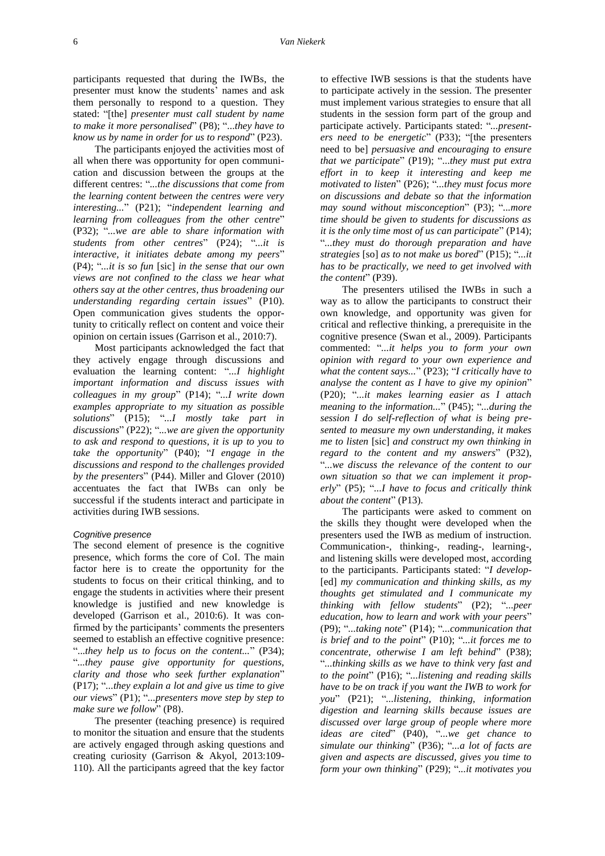participants requested that during the IWBs, the presenter must know the students' names and ask them personally to respond to a question. They stated: "[the] *presenter must call student by name to make it more personalised*" (P8); "...*they have to know us by name in order for us to respond*" (P23).

The participants enjoyed the activities most of all when there was opportunity for open communication and discussion between the groups at the different centres: "*...the discussions that come from the learning content between the centres were very interesting...*" (P21); "*independent learning and learning from colleagues from the other centre*" (P32); "*...we are able to share information with students from other centres*" (P24); "*...it is interactive, it initiates debate among my peers*" (P4); "*...it is so fun* [sic] *in the sense that our own views are not confined to the class we hear what others say at the other centres, thus broadening our understanding regarding certain issues*" (P10). Open communication gives students the opportunity to critically reflect on content and voice their opinion on certain issues (Garrison et al., 2010:7).

Most participants acknowledged the fact that they actively engage through discussions and evaluation the learning content: "*...I highlight important information and discuss issues with colleagues in my group*" (P14); "*...I write down examples appropriate to my situation as possible solutions*" (P15); "*...I mostly take part in discussions*" (P22); "*...we are given the opportunity to ask and respond to questions, it is up to you to take the opportunity*" (P40); "*I engage in the discussions and respond to the challenges provided by the presenters*" (P44). Miller and Glover (2010) accentuates the fact that IWBs can only be successful if the students interact and participate in activities during IWB sessions.

### *Cognitive presence*

The second element of presence is the cognitive presence, which forms the core of CoI. The main factor here is to create the opportunity for the students to focus on their critical thinking, and to engage the students in activities where their present knowledge is justified and new knowledge is developed (Garrison et al., 2010:6). It was confirmed by the participants' comments the presenters seemed to establish an effective cognitive presence: "...*they help us to focus on the content...*" (P34); "*...they pause give opportunity for questions, clarity and those who seek further explanation*" (P17); "*...they explain a lot and give us time to give our views*" (P1); "*...presenters move step by step to make sure we follow*" (P8).

The presenter (teaching presence) is required to monitor the situation and ensure that the students are actively engaged through asking questions and creating curiosity (Garrison & Akyol, 2013:109- 110). All the participants agreed that the key factor

to effective IWB sessions is that the students have to participate actively in the session. The presenter must implement various strategies to ensure that all students in the session form part of the group and participate actively. Participants stated: "*...presenters need to be energetic*" (P33); "[the presenters need to be] *persuasive and encouraging to ensure that we participate*" (P19); "...*they must put extra effort in to keep it interesting and keep me motivated to listen*" (P26); "*...they must focus more on discussions and debate so that the information may sound without misconception*" (P3); "*...more time should be given to students for discussions as it is the only time most of us can participate*" (P14); "*...they must do thorough preparation and have strategies* [so] *as to not make us bored*" (P15); "*...it has to be practically, we need to get involved with the content*" (P39).

The presenters utilised the IWBs in such a way as to allow the participants to construct their own knowledge, and opportunity was given for critical and reflective thinking, a prerequisite in the cognitive presence (Swan et al., 2009). Participants commented: "*...it helps you to form your own opinion with regard to your own experience and what the content says...*" (P23); "*I critically have to analyse the content as I have to give my opinion*" (P20); "*...it makes learning easier as I attach meaning to the information...*" (P45); "*...during the session I do self-reflection of what is being presented to measure my own understanding, it makes me to listen* [sic] *and construct my own thinking in regard to the content and my answers*" (P32), "*...we discuss the relevance of the content to our own situation so that we can implement it properly*" (P5); "*...I have to focus and critically think about the content*" (P13).

The participants were asked to comment on the skills they thought were developed when the presenters used the IWB as medium of instruction. Communication-, thinking-, reading-, learning-, and listening skills were developed most, according to the participants. Participants stated: "*I develop-* [ed] *my communication and thinking skills, as my thoughts get stimulated and I communicate my thinking with fellow students*" (P2); "*...peer education, how to learn and work with your peers*" (P9); "*...taking note*" (P14); "*...communication that is brief and to the point*" (P10); "*...it forces me to concentrate, otherwise I am left behind*" (P38); "*...thinking skills as we have to think very fast and to the point*" (P16); "*...listening and reading skills have to be on track if you want the IWB to work for you*" (P21); "*...listening, thinking, information digestion and learning skills because issues are discussed over large group of people where more ideas are cited*" (P40), "*...we get chance to simulate our thinking*" (P36); "*...a lot of facts are given and aspects are discussed, gives you time to form your own thinking*" (P29); "*...it motivates you*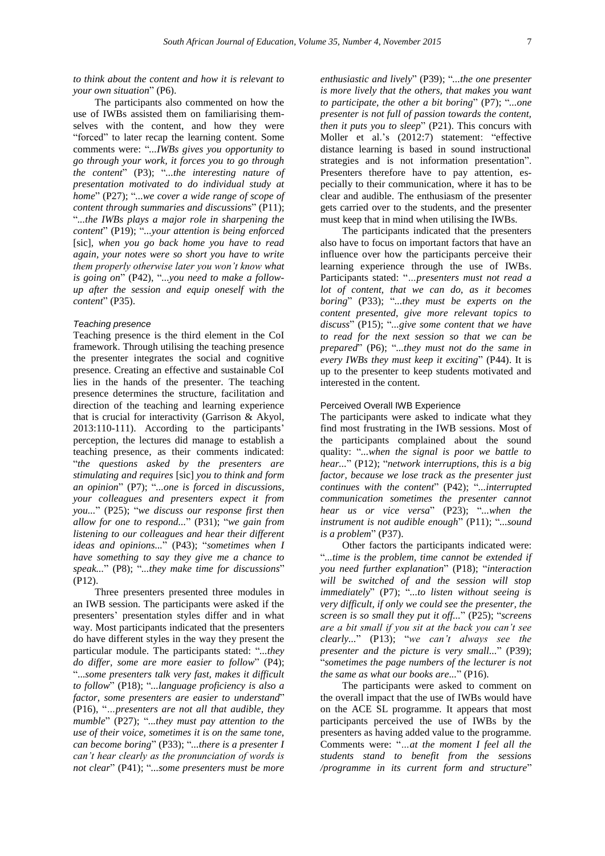## *to think about the content and how it is relevant to your own situation*" (P6).

The participants also commented on how the use of IWBs assisted them on familiarising themselves with the content, and how they were "forced" to later recap the learning content. Some comments were: "*...IWBs gives you opportunity to go through your work, it forces you to go through the content*" (P3); "*...the interesting nature of presentation motivated to do individual study at home*" (P27); "*...we cover a wide range of scope of content through summaries and discussions*" (P11); "*...the IWBs plays a major role in sharpening the content*" (P19); "*...your attention is being enforced* [sic]*, when you go back home you have to read again, your notes were so short you have to write them properly otherwise later you won't know what is going on*" (P42), "*...you need to make a followup after the session and equip oneself with the content*" (P35).

#### *Teaching presence*

Teaching presence is the third element in the CoI framework. Through utilising the teaching presence the presenter integrates the social and cognitive presence. Creating an effective and sustainable CoI lies in the hands of the presenter. The teaching presence determines the structure, facilitation and direction of the teaching and learning experience that is crucial for interactivity (Garrison & Akyol, 2013:110-111). According to the participants' perception, the lectures did manage to establish a teaching presence, as their comments indicated: "*the questions asked by the presenters are stimulating and requires* [sic] *you to think and form an opinion*" (P7); "*...one is forced in discussions, your colleagues and presenters expect it from you...*" (P25); "*we discuss our response first then allow for one to respond...*" (P31); "*we gain from listening to our colleagues and hear their different ideas and opinions...*" (P43); "*sometimes when I have something to say they give me a chance to speak...*" (P8); "*...they make time for discussions*" (P12).

Three presenters presented three modules in an IWB session. The participants were asked if the presenters' presentation styles differ and in what way. Most participants indicated that the presenters do have different styles in the way they present the particular module. The participants stated: "*...they do differ, some are more easier to follow*" (P4); "...*some presenters talk very fast, makes it difficult to follow*" (P18); "*...language proficiency is also a factor, some presenters are easier to understand*" (P16), "*…presenters are not all that audible, they mumble*" (P27); "*...they must pay attention to the use of their voice, sometimes it is on the same tone, can become boring*" (P33); "*...there is a presenter I can't hear clearly as the pronunciation of words is not clear*" (P41); "*...some presenters must be more* 

*enthusiastic and lively*" (P39); "*...the one presenter is more lively that the others, that makes you want to participate, the other a bit boring*" (P7); "*...one presenter is not full of passion towards the content, then it puts you to sleep*" (P21). This concurs with Moller et al.'s (2012:7) statement: "effective distance learning is based in sound instructional strategies and is not information presentation". Presenters therefore have to pay attention, especially to their communication, where it has to be clear and audible. The enthusiasm of the presenter gets carried over to the students, and the presenter must keep that in mind when utilising the IWBs.

The participants indicated that the presenters also have to focus on important factors that have an influence over how the participants perceive their learning experience through the use of IWBs. Participants stated: "*…presenters must not read a lot of content, that we can do, as it becomes boring*" (P33); "*...they must be experts on the content presented, give more relevant topics to discuss*" (P15); "*...give some content that we have to read for the next session so that we can be prepared*" (P6); "*...they must not do the same in every IWBs they must keep it exciting*" (P44). It is up to the presenter to keep students motivated and interested in the content.

# Perceived Overall IWB Experience

The participants were asked to indicate what they find most frustrating in the IWB sessions. Most of the participants complained about the sound quality: "*...when the signal is poor we battle to hear...*" (P12); "*network interruptions, this is a big factor, because we lose track as the presenter just continues with the content*" (P42); "*...interrupted communication sometimes the presenter cannot hear us or vice versa*" (P23); "*...when the instrument is not audible enough*" (P11); "*...sound is a problem*" (P37).

Other factors the participants indicated were: "*...time is the problem, time cannot be extended if you need further explanation*" (P18); "*interaction will be switched of and the session will stop immediately*" (P7); "*...to listen without seeing is very difficult, if only we could see the presenter, the screen is so small they put it off...*" (P25); "*screens are a bit small if you sit at the back you can't see clearly...*" (P13); "*we can't always see the presenter and the picture is very small...*" (P39); "*sometimes the page numbers of the lecturer is not the same as what our books are...*" (P16).

The participants were asked to comment on the overall impact that the use of IWBs would have on the ACE SL programme. It appears that most participants perceived the use of IWBs by the presenters as having added value to the programme. Comments were: "*…at the moment I feel all the students stand to benefit from the sessions /programme in its current form and structure*"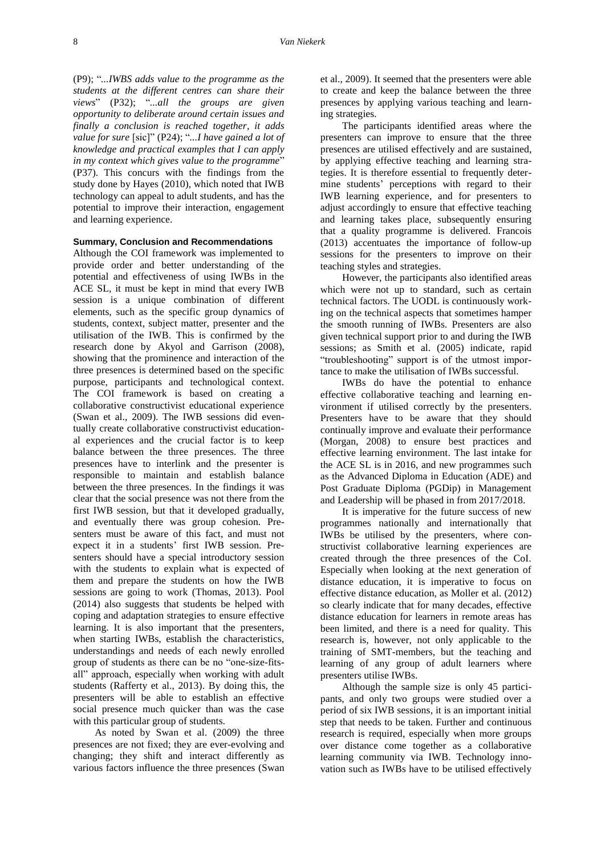(P9); "*...IWBS adds value to the programme as the students at the different centres can share their views*" (P32); "*...all the groups are given opportunity to deliberate around certain issues and finally a conclusion is reached together, it adds value for sure* [sic]" (P24); "*...I have gained a lot of knowledge and practical examples that I can apply in my context which gives value to the programme*" (P37). This concurs with the findings from the study done by Hayes (2010), which noted that IWB technology can appeal to adult students, and has the potential to improve their interaction, engagement and learning experience.

## **Summary, Conclusion and Recommendations**

Although the COI framework was implemented to provide order and better understanding of the potential and effectiveness of using IWBs in the ACE SL, it must be kept in mind that every IWB session is a unique combination of different elements, such as the specific group dynamics of students, context, subject matter, presenter and the utilisation of the IWB. This is confirmed by the research done by Akyol and Garrison (2008), showing that the prominence and interaction of the three presences is determined based on the specific purpose, participants and technological context. The COI framework is based on creating a collaborative constructivist educational experience (Swan et al., 2009). The IWB sessions did eventually create collaborative constructivist educational experiences and the crucial factor is to keep balance between the three presences. The three presences have to interlink and the presenter is responsible to maintain and establish balance between the three presences. In the findings it was clear that the social presence was not there from the first IWB session, but that it developed gradually, and eventually there was group cohesion. Presenters must be aware of this fact, and must not expect it in a students' first IWB session. Presenters should have a special introductory session with the students to explain what is expected of them and prepare the students on how the IWB sessions are going to work (Thomas, 2013). Pool (2014) also suggests that students be helped with coping and adaptation strategies to ensure effective learning. It is also important that the presenters, when starting IWBs, establish the characteristics, understandings and needs of each newly enrolled group of students as there can be no "one-size-fitsall" approach, especially when working with adult students (Rafferty et al., 2013). By doing this, the presenters will be able to establish an effective social presence much quicker than was the case with this particular group of students.

As noted by Swan et al. (2009) the three presences are not fixed; they are ever-evolving and changing; they shift and interact differently as various factors influence the three presences (Swan et al., 2009). It seemed that the presenters were able to create and keep the balance between the three presences by applying various teaching and learning strategies.

The participants identified areas where the presenters can improve to ensure that the three presences are utilised effectively and are sustained, by applying effective teaching and learning strategies. It is therefore essential to frequently determine students' perceptions with regard to their IWB learning experience, and for presenters to adjust accordingly to ensure that effective teaching and learning takes place, subsequently ensuring that a quality programme is delivered. Francois (2013) accentuates the importance of follow-up sessions for the presenters to improve on their teaching styles and strategies.

However, the participants also identified areas which were not up to standard, such as certain technical factors. The UODL is continuously working on the technical aspects that sometimes hamper the smooth running of IWBs. Presenters are also given technical support prior to and during the IWB sessions; as Smith et al. (2005) indicate, rapid "troubleshooting" support is of the utmost importance to make the utilisation of IWBs successful.

IWBs do have the potential to enhance effective collaborative teaching and learning environment if utilised correctly by the presenters. Presenters have to be aware that they should continually improve and evaluate their performance (Morgan, 2008) to ensure best practices and effective learning environment. The last intake for the ACE SL is in 2016, and new programmes such as the Advanced Diploma in Education (ADE) and Post Graduate Diploma (PGDip) in Management and Leadership will be phased in from 2017/2018.

It is imperative for the future success of new programmes nationally and internationally that IWBs be utilised by the presenters, where constructivist collaborative learning experiences are created through the three presences of the CoI. Especially when looking at the next generation of distance education, it is imperative to focus on effective distance education, as Moller et al. (2012) so clearly indicate that for many decades, effective distance education for learners in remote areas has been limited, and there is a need for quality. This research is, however, not only applicable to the training of SMT-members, but the teaching and learning of any group of adult learners where presenters utilise IWBs.

Although the sample size is only 45 participants, and only two groups were studied over a period of six IWB sessions, it is an important initial step that needs to be taken. Further and continuous research is required, especially when more groups over distance come together as a collaborative learning community via IWB. Technology innovation such as IWBs have to be utilised effectively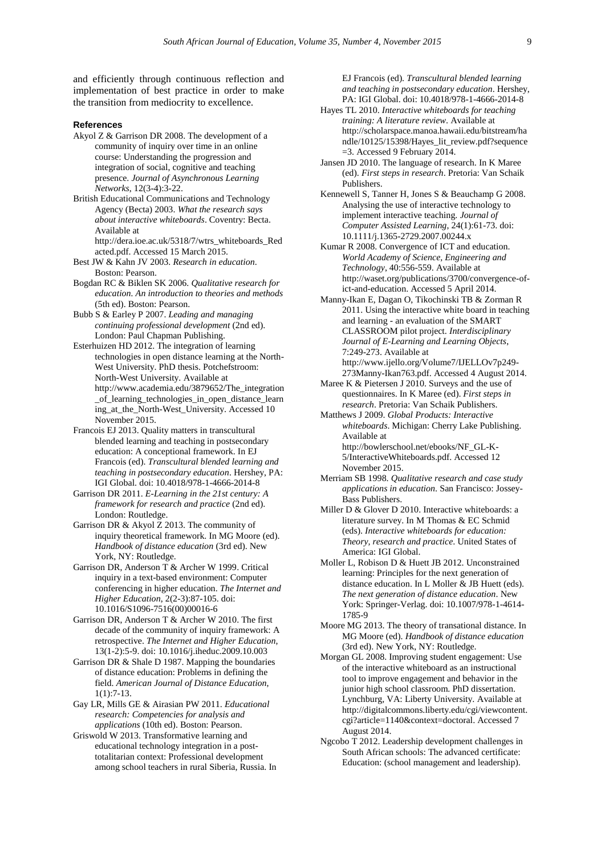and efficiently through continuous reflection and implementation of best practice in order to make the transition from mediocrity to excellence.

#### **References**

- Akyol Z & Garrison DR 2008. The development of a community of inquiry over time in an online course: Understanding the progression and integration of social, cognitive and teaching presence. *Journal of Asynchronous Learning Networks*, 12(3-4):3-22.
- British Educational Communications and Technology Agency (Becta) 2003. *What the research says about interactive whiteboards*. Coventry: Becta. Available at
	- http://dera.ioe.ac.uk/5318/7/wtrs\_whiteboards\_Red acted.pdf. Accessed 15 March 2015.
- Best JW & Kahn JV 2003. *Research in education*. Boston: Pearson.
- Bogdan RC & Biklen SK 2006. *Qualitative research for education. An introduction to theories and methods* (5th ed). Boston: Pearson.
- Bubb S & Earley P 2007. *Leading and managing continuing professional development* (2nd ed). London: Paul Chapman Publishing.
- Esterhuizen HD 2012. The integration of learning technologies in open distance learning at the North-West University. PhD thesis. Potchefstroom: North-West University. Available at http://www.academia.edu/3879652/The\_integration \_of\_learning\_technologies\_in\_open\_distance\_learn ing\_at\_the\_North-West\_University. Accessed 10 November 2015.
- Francois EJ 2013. Quality matters in transcultural blended learning and teaching in postsecondary education: A conceptional framework. In EJ Francois (ed). *Transcultural blended learning and teaching in postsecondary education*. Hershey, PA: IGI Global. doi: 10.4018/978-1-4666-2014-8
- Garrison DR 2011. *E-Learning in the 21st century: A framework for research and practice* (2nd ed). London: Routledge.
- Garrison DR & Akyol Z 2013. The community of inquiry theoretical framework. In MG Moore (ed). *Handbook of distance education* (3rd ed). New York, NY: Routledge.
- Garrison DR, Anderson T & Archer W 1999. Critical inquiry in a text-based environment: Computer conferencing in higher education. *The Internet and Higher Education*, 2(2-3):87-105. [doi:](http://dx.doi.org/10.1016/S1096-7516%2800%2900016-6)  [10.1016/S1096-7516\(00\)00016-6](http://dx.doi.org/10.1016/S1096-7516%2800%2900016-6)
- Garrison DR, Anderson T & Archer W 2010. The first decade of the community of inquiry framework: A retrospective. *The Internet and Higher Education*, 13(1-2):5-9. [doi: 10.1016/j.iheduc.2009.10.003](http://dx.doi.org/10.1016/j.iheduc.2009.10.003)
- Garrison DR & Shale D 1987. Mapping the boundaries of distance education: Problems in defining the field. *American Journal of Distance Education*, 1(1):7-13.
- Gay LR, Mills GE & Airasian PW 2011. *Educational research: Competencies for analysis and applications* (10th ed). Boston: Pearson.
- Griswold W 2013. Transformative learning and educational technology integration in a posttotalitarian context: Professional development among school teachers in rural Siberia, Russia. In

EJ Francois (ed). *Transcultural blended learning and teaching in postsecondary education*. Hershey, PA: IGI Global. doi: 10.4018/978-1-4666-2014-8

- Hayes TL 2010. *Interactive whiteboards for teaching training: A literature review*. Available at http://scholarspace.manoa.hawaii.edu/bitstream/ha ndle/10125/15398/Hayes\_lit\_review.pdf?sequence =3. Accessed 9 February 2014.
- Jansen JD 2010. The language of research. In K Maree (ed). *First steps in research*. Pretoria: Van Schaik Publishers.
- Kennewell S, Tanner H, Jones S & Beauchamp G 2008. Analysing the use of interactive technology to implement interactive teaching. *Journal of Computer Assisted Learning*, 24(1):61-73. [doi:](http://onlinelibrary.wiley.com/doi/10.1111/j.1365-2729.2007.00244.x/abstract)  [10.1111/j.1365-2729.2007.00244.x](http://onlinelibrary.wiley.com/doi/10.1111/j.1365-2729.2007.00244.x/abstract)
- Kumar R 2008. Convergence of ICT and education. *World Academy of Science, Engineering and Technology*, 40:556-559. Available at http://waset.org/publications/3700/convergence-ofict-and-education. Accessed 5 April 2014.
- Manny-Ikan E, Dagan O, Tikochinski TB & Zorman R 2011. Using the interactive white board in teaching and learning - an evaluation of the SMART CLASSROOM pilot project. *Interdisciplinary Journal of E-Learning and Learning Objects*, 7:249-273. Available at http://www.ijello.org/Volume7/IJELLOv7p249-
- 273Manny-Ikan763.pdf. Accessed 4 August 2014. Maree K & Pietersen J 2010. Surveys and the use of questionnaires. In K Maree (ed). *First steps in*
- *research*. Pretoria: Van Schaik Publishers. Matthews J 2009. *Global Products: Interactive whiteboards*. Michigan: Cherry Lake Publishing. Available at
	- [http://bowlerschool.net/ebooks/NF\\_GL-K-](http://bowlerschool.net/ebooks/NF_GL-K-5/InteractiveWhiteboards.pdf)[5/InteractiveWhiteboards.pdf.](http://bowlerschool.net/ebooks/NF_GL-K-5/InteractiveWhiteboards.pdf) Accessed 12 November 2015.
- Merriam SB 1998. *Qualitative research and case study applications in education*. San Francisco: Jossey-Bass Publishers.
- Miller D & Glover D 2010. Interactive whiteboards: a literature survey. In M Thomas & EC Schmid (eds). *Interactive whiteboards for education: Theory, research and practice*. United States of America: IGI Global.
- Moller L, Robison D & Huett JB 2012. Unconstrained learning: Principles for the next generation of distance education. In L Moller & JB Huett (eds). *The next generation of distance education*. New York: Springer-Verlag. [doi: 10.1007/978-1-4614-](http://www.springer.com/us/book/9781461417842) [1785-9](http://www.springer.com/us/book/9781461417842)
- Moore MG 2013. The theory of transational distance. In MG Moore (ed). *Handbook of distance education* (3rd ed). New York, NY: Routledge.
- Morgan GL 2008. Improving student engagement: Use of the interactive whiteboard as an instructional tool to improve engagement and behavior in the junior high school classroom. PhD dissertation. Lynchburg, VA: Liberty University. Available at [http://digitalcommons.liberty.edu/cgi/viewcontent.](http://digitalcommons.liberty.edu/cgi/viewcontent.cgi?article=1140&context=doctoral) [cgi?article=1140&context=doctoral.](http://digitalcommons.liberty.edu/cgi/viewcontent.cgi?article=1140&context=doctoral) Accessed 7 August 2014.
- Ngcobo T 2012. Leadership development challenges in South African schools: The advanced certificate: Education: (school management and leadership).